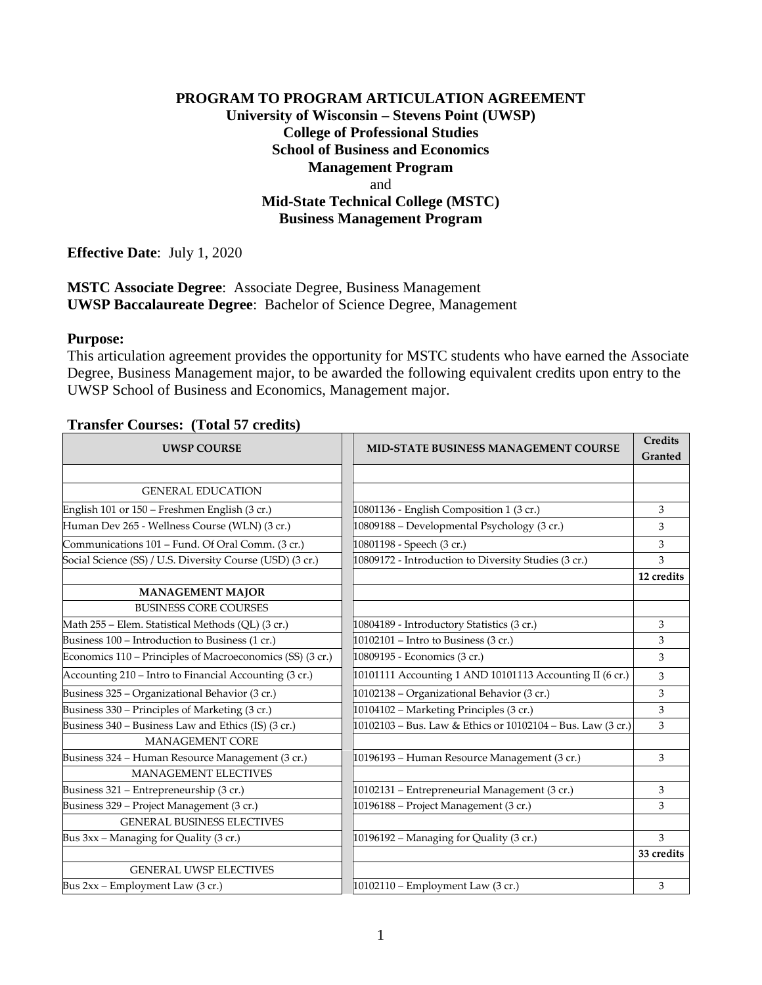## **PROGRAM TO PROGRAM ARTICULATION AGREEMENT University of Wisconsin – Stevens Point (UWSP) College of Professional Studies School of Business and Economics Management Program** and **Mid-State Technical College (MSTC) Business Management Program**

**Effective Date**: July 1, 2020

**MSTC Associate Degree**: Associate Degree, Business Management **UWSP Baccalaureate Degree**: Bachelor of Science Degree, Management

### **Purpose:**

This articulation agreement provides the opportunity for MSTC students who have earned the Associate Degree, Business Management major, to be awarded the following equivalent credits upon entry to the UWSP School of Business and Economics, Management major.

### UWSP COURSE **MID-STATE BUSINESS MANAGEMENT COURSE Credits Granted** GENERAL EDUCATION English 101 or 150 – Freshmen English (3 cr.) 10801136 - English Composition 1 (3 cr.) 3 Human Dev 265 - Wellness Course (WLN) (3 cr.) 10809188 – Developmental Psychology (3 cr.) 3  $Commonmathhations 101 - Fund. Of Oral Comm. (3 cr.)$   $10801198 - Speech (3 cr.)$  3 Social Science (SS) / U.S. Diversity Course (USD) (3 cr.) 10809172 - Introduction to Diversity Studies (3 cr.) 3 **12 credits MANAGEMENT MAJOR** BUSINESS CORE COURSES Math 255 – Elem. Statistical Methods (QL)  $(3 \text{ cr.})$  10804189 - Introductory Statistics  $(3 \text{ cr.})$  3 Business 100 – Introduction to Business (1 cr.) 10102101 – Intro to Business (3 cr.) 3 Economics 110 – Principles of Macroeconomics (SS)  $(3 \text{ cr.})$  10809195 - Economics  $(3 \text{ cr.})$  3 Accounting 210 – Intro to Financial Accounting (3 cr.)  $\boxed{10101111}$  Accounting 1 AND 10101113 Accounting II (6 cr.) 3 Business 325 – Organizational Behavior (3 cr.)  $\boxed{10102138 -$  Organizational Behavior (3 cr.) 3 Business 330 – Principles of Marketing  $(3 \text{ cr.})$  10104102 – Marketing Principles  $(3 \text{ cr.})$  3 Business 340 – Business Law and Ethics (IS) (3 cr.)  $\begin{bmatrix} 10102103 - Bus & Law & Ethics or 10102104 - Bus & Law (3 cr.) \end{bmatrix}$  3 MANAGEMENT CORE Business 324 – Human Resource Management (3 cr.) 10196193 – Human Resource Management (3 cr.) 3 MANAGEMENT ELECTIVES Business 321 – Entrepreneurship (3 cr.) 10102131 – Entrepreneurial Management (3 cr.) 3 Business 329 – Project Management (3 cr.) 10196188 – Project Management (3 cr.) 3 GENERAL BUSINESS ELECTIVES Bus 3xx – Managing for Quality (3 cr.)  $\begin{vmatrix} 10196192 - \text{Manging for Quality (3 cr.)} \end{vmatrix}$  3 **33 credits** GENERAL UWSP ELECTIVES Bus 2xx – Employment Law (3 cr.) 10102110 – Employment Law (3 cr.) 3

#### **Transfer Courses: (Total 57 credits)**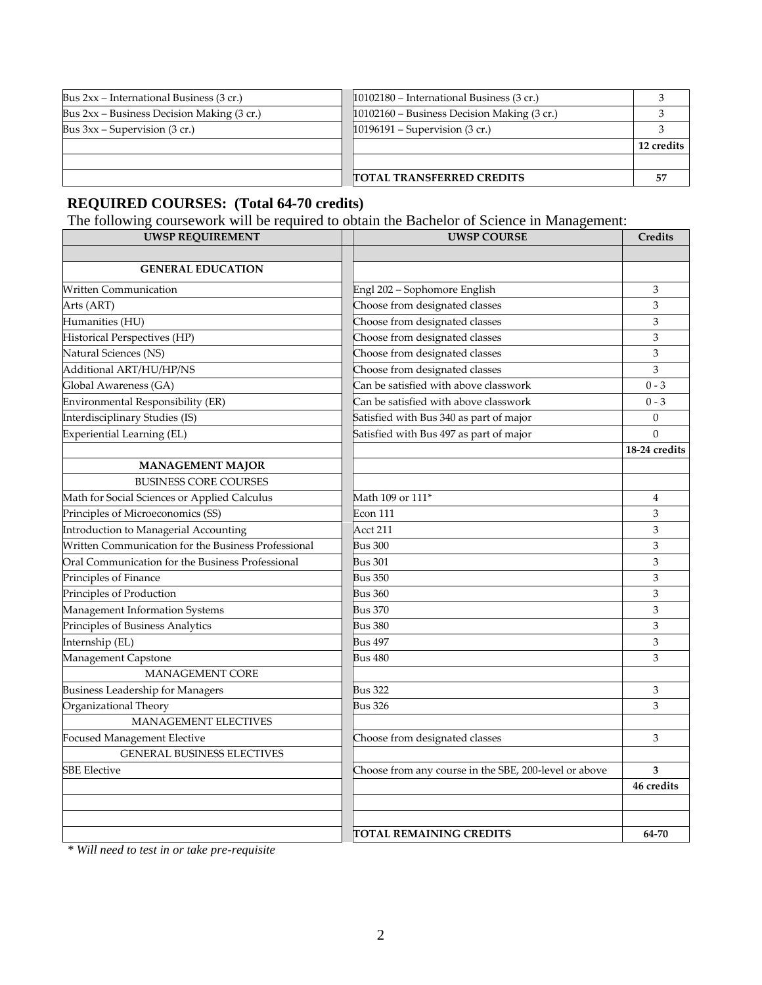| Bus $2xx$ – International Business (3 cr.)   | $ 10102180 - International Business (3 cr.)$  |            |
|----------------------------------------------|-----------------------------------------------|------------|
| Bus $2xx$ – Business Decision Making (3 cr.) | $10102160 - Business Decision Making (3 cr.)$ |            |
| Bus $3xx$ – Supervision (3 cr.)              | $10196191 -$ Supervision (3 cr.)              |            |
|                                              |                                               | 12 credits |
|                                              |                                               |            |
|                                              | <b>ITOTAL TRANSFERRED CREDITS</b>             |            |

### **REQUIRED COURSES: (Total 64-70 credits)**

The following coursework will be required to obtain the Bachelor of Science in Management:

| <b>UWSP REQUIREMENT</b>                             | <b>UWSP COURSE</b>                                    | <b>Credits</b>   |
|-----------------------------------------------------|-------------------------------------------------------|------------------|
|                                                     |                                                       |                  |
| <b>GENERAL EDUCATION</b>                            |                                                       |                  |
| <b>Written Communication</b>                        | Engl 202 - Sophomore English                          | 3                |
| Arts (ART)                                          | Choose from designated classes                        | 3                |
| Humanities (HU)                                     | Choose from designated classes                        | 3                |
| Historical Perspectives (HP)                        | Choose from designated classes                        | 3                |
| Natural Sciences (NS)                               | Choose from designated classes                        | 3                |
| Additional ART/HU/HP/NS                             | Choose from designated classes                        | 3                |
| Global Awareness (GA)                               | Can be satisfied with above classwork                 | $0 - 3$          |
| <b>Environmental Responsibility (ER)</b>            | Can be satisfied with above classwork                 | $0 - 3$          |
| Interdisciplinary Studies (IS)                      | Satisfied with Bus 340 as part of major               | $\boldsymbol{0}$ |
| <b>Experiential Learning (EL)</b>                   | Satisfied with Bus 497 as part of major               | $\Omega$         |
|                                                     |                                                       | 18-24 credits    |
| <b>MANAGEMENT MAJOR</b>                             |                                                       |                  |
| <b>BUSINESS CORE COURSES</b>                        |                                                       |                  |
| Math for Social Sciences or Applied Calculus        | Math 109 or 111 <sup>*</sup>                          | 4                |
| Principles of Microeconomics (SS)                   | Econ 111                                              | 3                |
| Introduction to Managerial Accounting               | Acct 211                                              | 3                |
| Written Communication for the Business Professional | <b>Bus 300</b>                                        | 3                |
| Oral Communication for the Business Professional    | <b>Bus 301</b>                                        | 3                |
| Principles of Finance                               | <b>Bus 350</b>                                        | 3                |
| Principles of Production                            | <b>Bus 360</b>                                        | 3                |
| Management Information Systems                      | <b>Bus 370</b>                                        | 3                |
| Principles of Business Analytics                    | <b>Bus 380</b>                                        | 3                |
| Internship (EL)                                     | <b>Bus 497</b>                                        | 3                |
| Management Capstone                                 | Bus 480                                               | 3                |
| <b>MANAGEMENT CORE</b>                              |                                                       |                  |
| <b>Business Leadership for Managers</b>             | <b>Bus 322</b>                                        | 3                |
| Organizational Theory                               | Bus 326                                               | 3                |
| <b>MANAGEMENT ELECTIVES</b>                         |                                                       |                  |
| <b>Focused Management Elective</b>                  | Choose from designated classes                        | 3                |
| <b>GENERAL BUSINESS ELECTIVES</b>                   |                                                       |                  |
| <b>SBE Elective</b>                                 | Choose from any course in the SBE, 200-level or above | 3                |
|                                                     |                                                       | 46 credits       |
|                                                     |                                                       |                  |
|                                                     |                                                       |                  |
|                                                     | TOTAL REMAINING CREDITS                               | 64-70            |

*\* Will need to test in or take pre-requisite*